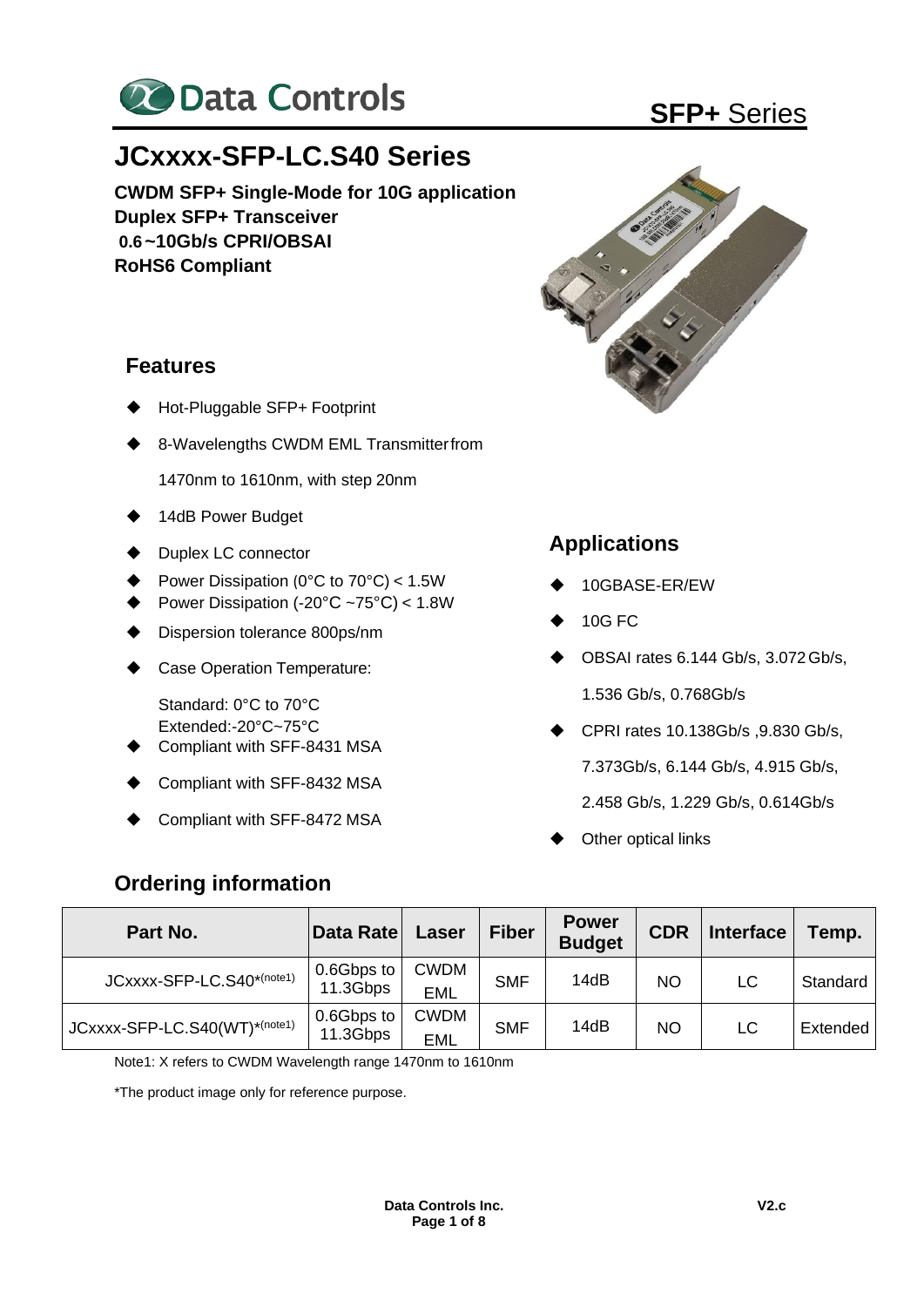

# **JCxxxx-SFP-LC.S40 Series**

**CWDM SFP+ Single-Mode for 10G application Duplex SFP+ Transceiver 0.6~10Gb/s CPRI/OBSAI RoHS6 Compliant**

### **Features**

- **Hot-Pluggable SFP+ Footprint**
- 8-Wavelengths CWDM EML Transmitterfrom

1470nm to 1610nm, with step 20nm

- ◆ 14dB Power Budget
- ◆ Duplex LC connector
- ◆ Power Dissipation (0°C to 70°C) < 1.5W
- Power Dissipation  $(-20^{\circ}C 75^{\circ}C) < 1.8W$
- Dispersion tolerance 800ps/nm
- ◆ Case Operation Temperature:

Standard: 0°C to 70°C Extended:-20°C~75°C

- ◆ Compliant with SFF-8431 MSA
- ◆ Compliant with SFF-8432 MSA
- ◆ Compliant with SFF-8472 MSA

### **Ordering information**





### **Applications**

- ◆ 10GBASE-ER/EW
- ◆ 10G FC
- ◆ OBSAI rates 6.144 Gb/s, 3.072Gb/s, 1.536 Gb/s, 0.768Gb/s
- ◆ CPRI rates 10.138Gb/s ,9.830 Gb/s,

7.373Gb/s, 6.144 Gb/s, 4.915 Gb/s,

- 2.458 Gb/s, 1.229 Gb/s, 0.614Gb/s
- Other optical links

| Part No.                      | Data Rate              | Laser                     | <b>Fiber</b> | <b>Power</b><br><b>Budget</b> | <b>CDR</b> | <b>Interface</b> | Temp.    |
|-------------------------------|------------------------|---------------------------|--------------|-------------------------------|------------|------------------|----------|
| JCxxxx-SFP-LC.S40*(note1)     | 0.6Gbps to<br>11.3Gbps | <b>CWDM</b><br>EML        | <b>SMF</b>   | 14dB                          | <b>NO</b>  | LC               | Standard |
| JCxxxx-SFP-LC.S40(WT)*(note1) | 0.6Gbps to<br>11.3Gbps | <b>CWDM</b><br><b>EML</b> | <b>SMF</b>   | 14dB                          | <b>NO</b>  | LC               | Extended |

Note1: X refers to CWDM Wavelength range 1470nm to 1610nm

\*The product image only for reference purpose.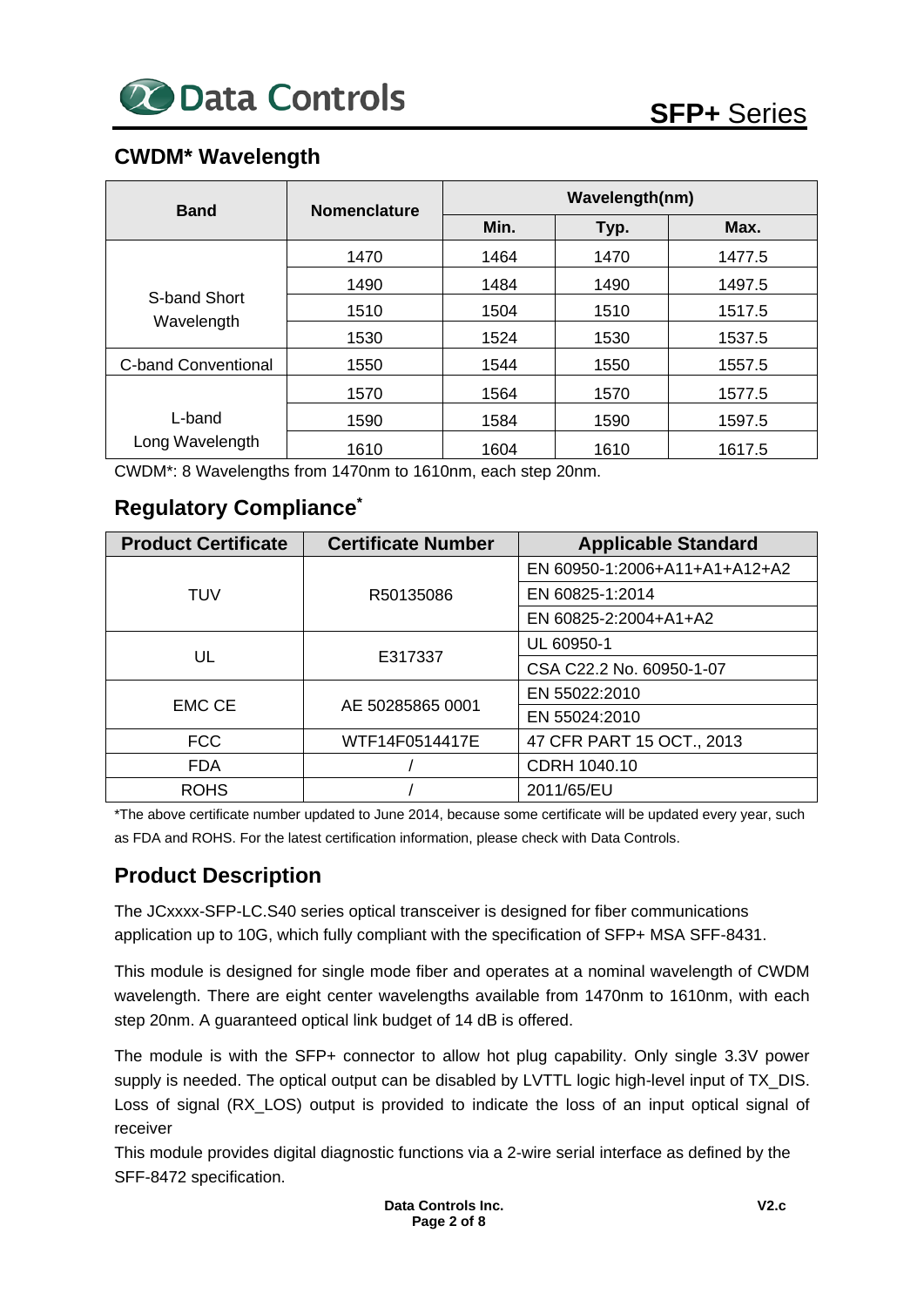### **CWDM\* Wavelength**

| <b>Band</b>                | <b>Nomenclature</b> | Wavelength(nm) |      |        |  |  |  |
|----------------------------|---------------------|----------------|------|--------|--|--|--|
|                            |                     | Min.           | Typ. | Max.   |  |  |  |
|                            | 1470                | 1464           | 1470 | 1477.5 |  |  |  |
| S-band Short<br>Wavelength | 1490                | 1484           | 1490 | 1497.5 |  |  |  |
|                            | 1510                | 1504           | 1510 | 1517.5 |  |  |  |
|                            | 1530                | 1524           | 1530 | 1537.5 |  |  |  |
| <b>C-band Conventional</b> | 1550                | 1544           | 1550 | 1557.5 |  |  |  |
|                            | 1570                | 1564           | 1570 | 1577.5 |  |  |  |
| L-band                     | 1590                | 1584           | 1590 | 1597.5 |  |  |  |
| Long Wavelength            | 1610                | 1604           | 1610 | 1617.5 |  |  |  |

CWDM\*: 8 Wavelengths from 1470nm to 1610nm, each step 20nm.

### **Regulatory Compliance\***

| <b>Product Certificate</b> | <b>Certificate Number</b> | <b>Applicable Standard</b>    |
|----------------------------|---------------------------|-------------------------------|
| TUV                        |                           | EN 60950-1:2006+A11+A1+A12+A2 |
|                            | R50135086                 | EN 60825-1:2014               |
|                            |                           | EN 60825-2:2004+A1+A2         |
|                            |                           | UL 60950-1                    |
| UL                         | E317337                   | CSA C22.2 No. 60950-1-07      |
|                            |                           | EN 55022:2010                 |
| <b>EMC CE</b>              | AE 50285865 0001          | EN 55024:2010                 |
| <b>FCC</b>                 | WTF14F0514417E            | 47 CFR PART 15 OCT., 2013     |
| <b>FDA</b>                 |                           | CDRH 1040.10                  |
| <b>ROHS</b>                |                           | 2011/65/EU                    |

\*The above certificate number updated to June 2014, because some certificate will be updated every year, such as FDA and ROHS. For the latest certification information, please check with Data Controls.

### **Product Description**

The JCxxxx-SFP-LC.S40 series optical transceiver is designed for fiber communications application up to 10G, which fully compliant with the specification of SFP+ MSA SFF-8431.

This module is designed for single mode fiber and operates at a nominal wavelength of CWDM wavelength. There are eight center wavelengths available from 1470nm to 1610nm, with each step 20nm. A guaranteed optical link budget of 14 dB is offered.

The module is with the SFP+ connector to allow hot plug capability. Only single 3.3V power supply is needed. The optical output can be disabled by LVTTL logic high-level input of TX\_DIS. Loss of signal (RX\_LOS) output is provided to indicate the loss of an input optical signal of receiver

This module provides digital diagnostic functions via a 2-wire serial interface as defined by the SFF-8472 specification.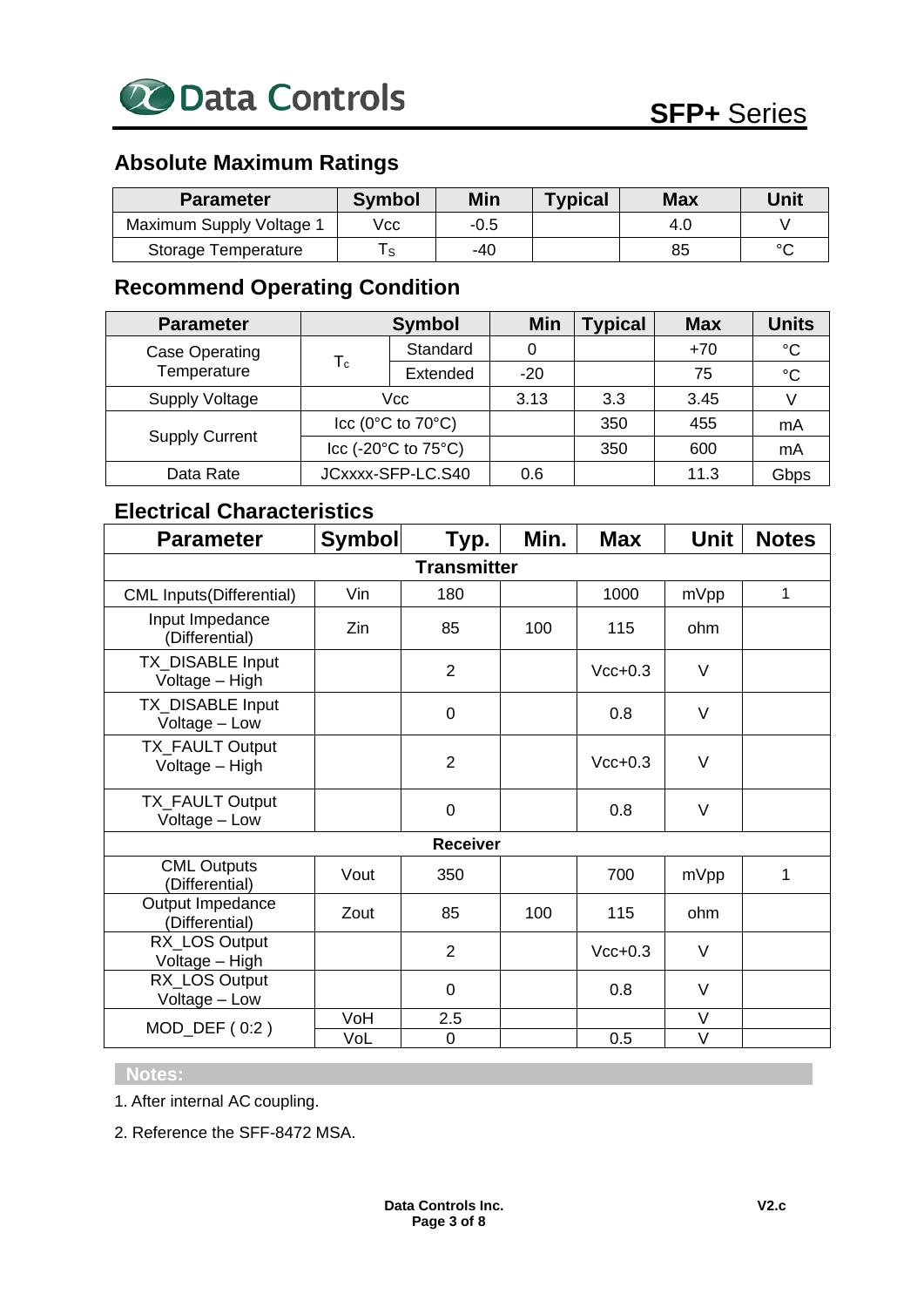

### **Absolute Maximum Ratings**

| <b>Parameter</b>         | <b>Symbol</b> | <b>Min</b> | <b>Typical</b> | <b>Max</b> | Unit   |
|--------------------------|---------------|------------|----------------|------------|--------|
| Maximum Supply Voltage 1 | Vcc           | -0.5       |                | 4.0        |        |
| Storage Temperature      |               | -40        |                | 85         | $\sim$ |

## **Recommend Operating Condition**

| <b>Parameter</b>              | <b>Symbol</b>                           |          | Min   | Typical | <b>Max</b> | <b>Units</b> |
|-------------------------------|-----------------------------------------|----------|-------|---------|------------|--------------|
| Case Operating<br>Temperature | $\mathsf{T}_{\mathsf{c}}$               | Standard | 0     |         | $+70$      | $^{\circ}C$  |
|                               |                                         | Extended | $-20$ |         | 75         | $^{\circ}C$  |
| <b>Supply Voltage</b>         | Vcc                                     |          | 3.13  | 3.3     | 3.45       |              |
| <b>Supply Current</b>         | cc (0°C to 70°C)                        |          |       | 350     | 455        | mA           |
|                               | Icc (-20 $\degree$ C to 75 $\degree$ C) |          |       | 350     | 600        | mA           |
| Data Rate                     | JCxxxx-SFP-LC.S40                       |          | 0.6   |         | 11.3       | Gbps         |

### **Electrical Characteristics**

| <b>Parameter</b>                     | <b>Symbol</b> | Typ.            | Min. | <b>Max</b> | <b>Unit</b> | <b>Notes</b> |  |  |
|--------------------------------------|---------------|-----------------|------|------------|-------------|--------------|--|--|
| <b>Transmitter</b>                   |               |                 |      |            |             |              |  |  |
| <b>CML Inputs(Differential)</b>      | Vin           | 180             |      | 1000       | mVpp        | 1            |  |  |
| Input Impedance<br>(Differential)    | Zin           | 85              | 100  | 115        | ohm         |              |  |  |
| TX_DISABLE Input<br>Voltage - High   |               | $\overline{2}$  |      | $Vcc+0.3$  | V           |              |  |  |
| TX_DISABLE Input<br>Voltage - Low    |               | $\overline{0}$  |      | 0.8        | V           |              |  |  |
| TX_FAULT Output<br>Voltage - High    |               | $\overline{2}$  |      | $Vcc+0.3$  | $\vee$      |              |  |  |
| TX_FAULT Output<br>Voltage - Low     |               | $\mathbf 0$     |      | 0.8        | V           |              |  |  |
|                                      |               | <b>Receiver</b> |      |            |             |              |  |  |
| <b>CML Outputs</b><br>(Differential) | Vout          | 350             |      | 700        | mVpp        | 1            |  |  |
| Output Impedance<br>(Differential)   | Zout          | 85              | 100  | 115        | ohm         |              |  |  |
| RX_LOS Output<br>Voltage - High      |               | $\overline{2}$  |      | $Vcc+0.3$  | V           |              |  |  |
| RX_LOS Output<br>Voltage - Low       |               | 0               |      | 0.8        | $\vee$      |              |  |  |
| $MOD_DEF(0:2)$                       | VoH           | 2.5             |      |            | V           |              |  |  |
|                                      | VoL           | 0               |      | 0.5        | V           |              |  |  |

#### **Notes:**

1. After internal AC coupling.

2. Reference the SFF-8472 MSA.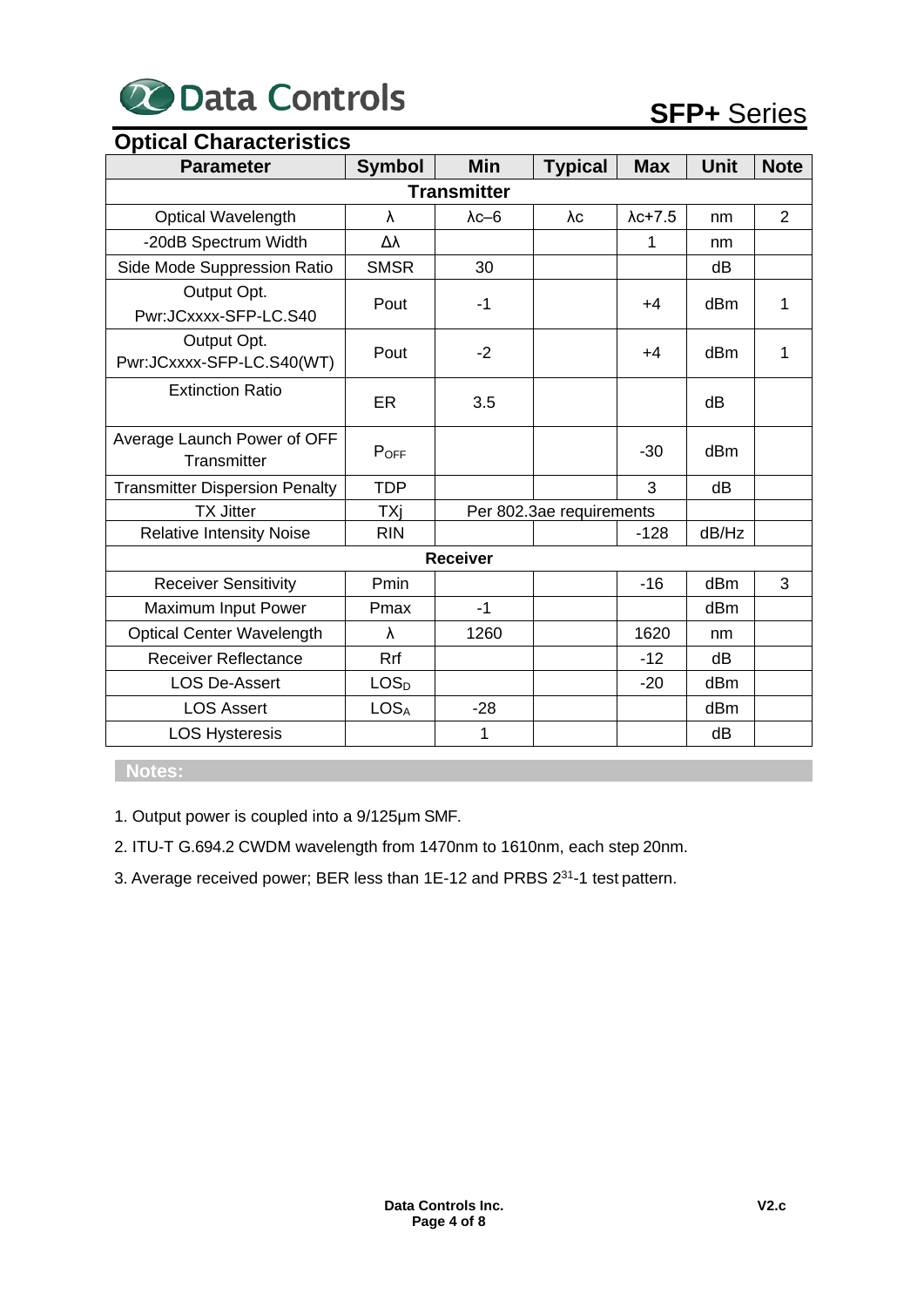

| <b>Optical Characteristics</b>             |                  |                          |                |                 |             |                |  |  |
|--------------------------------------------|------------------|--------------------------|----------------|-----------------|-------------|----------------|--|--|
| <b>Parameter</b>                           | <b>Symbol</b>    | <b>Min</b>               | <b>Typical</b> | <b>Max</b>      | <b>Unit</b> | <b>Note</b>    |  |  |
|                                            |                  | <b>Transmitter</b>       |                |                 |             |                |  |  |
| <b>Optical Wavelength</b>                  | λ                | $\lambda$ c-6            | $\lambda c$    | $\lambda$ c+7.5 | nm          | $\overline{2}$ |  |  |
| -20dB Spectrum Width                       | Δλ               |                          |                | 1               | nm          |                |  |  |
| Side Mode Suppression Ratio                | <b>SMSR</b>      | 30                       |                |                 | dB          |                |  |  |
| Output Opt.<br>Pwr:JCxxxx-SFP-LC.S40       | Pout             | $-1$                     |                | $+4$            | dBm         | 1              |  |  |
| Output Opt.<br>Pwr:JCxxxx-SFP-LC.S40(WT)   | Pout             | $-2$                     |                | +4              | dBm         | 1              |  |  |
| <b>Extinction Ratio</b>                    | <b>ER</b>        | 3.5                      |                |                 | dB          |                |  |  |
| Average Launch Power of OFF<br>Transmitter | POFF             |                          |                | $-30$           | dBm         |                |  |  |
| <b>Transmitter Dispersion Penalty</b>      | <b>TDP</b>       |                          |                | 3               | dB          |                |  |  |
| <b>TX Jitter</b>                           | TXi              | Per 802.3ae requirements |                |                 |             |                |  |  |
| <b>Relative Intensity Noise</b>            | <b>RIN</b>       |                          |                | $-128$          | dB/Hz       |                |  |  |
|                                            |                  | <b>Receiver</b>          |                |                 |             |                |  |  |
| <b>Receiver Sensitivity</b>                | Pmin             |                          |                | $-16$           | dBm         | 3              |  |  |
| Maximum Input Power                        | Pmax             | $-1$                     |                |                 | dBm         |                |  |  |
| <b>Optical Center Wavelength</b>           | λ                | 1260                     |                | 1620            | nm          |                |  |  |
| <b>Receiver Reflectance</b>                | Rrf              |                          |                | $-12$           | dB          |                |  |  |
| <b>LOS De-Assert</b>                       | LOS <sub>D</sub> |                          |                | $-20$           | dBm         |                |  |  |
| <b>LOS Assert</b>                          | <b>LOSA</b>      | $-28$                    |                |                 | dBm         |                |  |  |
| <b>LOS Hysteresis</b>                      |                  | 1                        |                |                 | dB          |                |  |  |

**Notes:**

1. Output power is coupled into a 9/125μm SMF.

2. ITU-T G.694.2 CWDM wavelength from 1470nm to 1610nm, each step 20nm.

3. Average received power; BER less than 1E-12 and PRBS 2<sup>31</sup>-1 test pattern.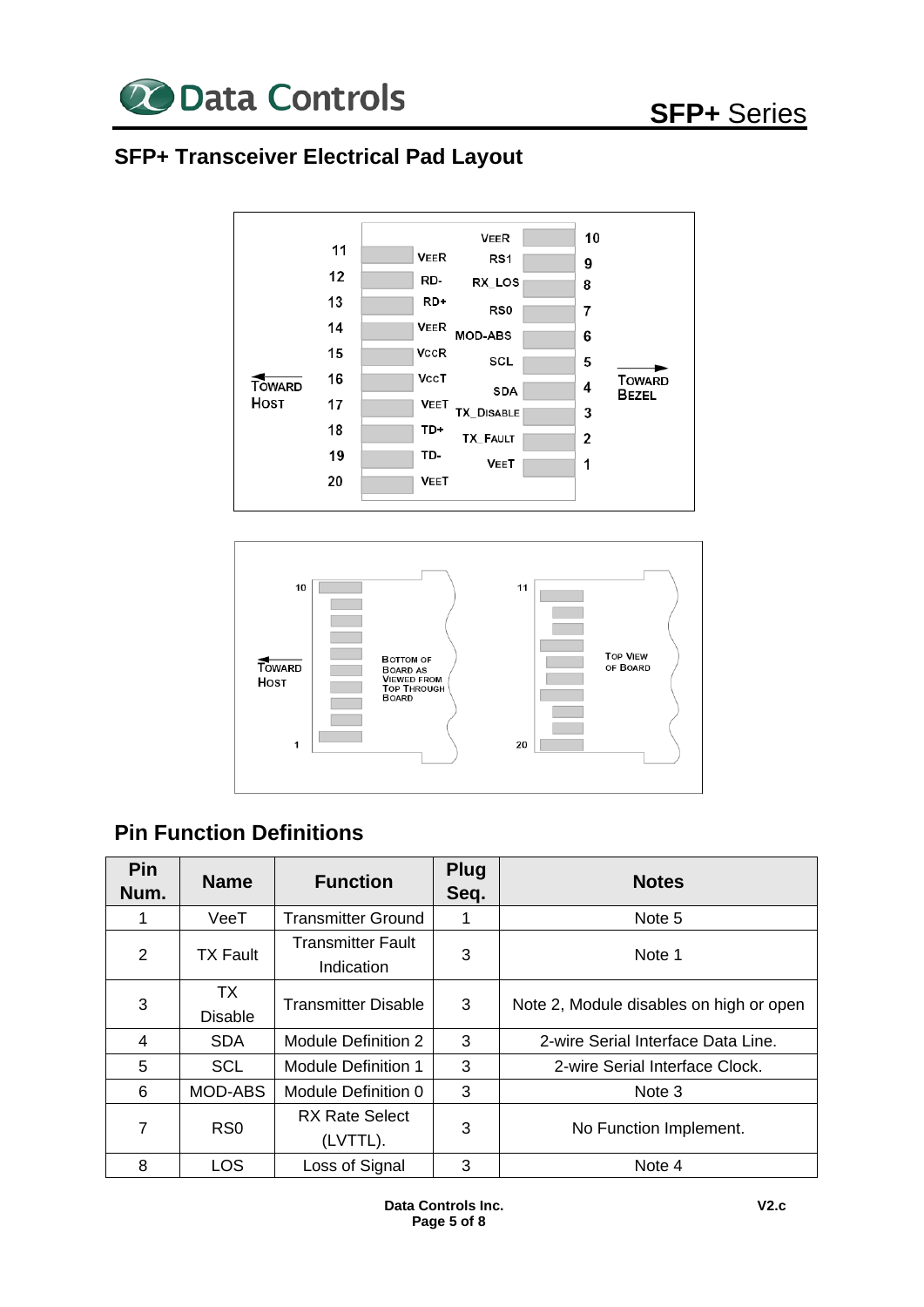

## **SFP+ Transceiver Electrical Pad Layout**





### **Pin Function Definitions**

| <b>Pin</b><br>Num. | <b>Name</b>                 | <b>Function</b>                        | <b>Plug</b><br>Seq. | <b>Notes</b>                            |
|--------------------|-----------------------------|----------------------------------------|---------------------|-----------------------------------------|
|                    | VeeT                        | <b>Transmitter Ground</b>              | 1                   | Note 5                                  |
| 2                  | <b>TX Fault</b>             | <b>Transmitter Fault</b><br>Indication | 3                   | Note 1                                  |
| 3                  | <b>TX</b><br><b>Disable</b> | <b>Transmitter Disable</b>             | 3                   | Note 2, Module disables on high or open |
| 4                  | <b>SDA</b>                  | Module Definition 2                    | 3                   | 2-wire Serial Interface Data Line.      |
| 5                  | <b>SCL</b>                  | <b>Module Definition 1</b>             | 3                   | 2-wire Serial Interface Clock.          |
| 6                  | MOD-ABS                     | Module Definition 0                    | 3                   | Note 3                                  |
| 7                  | R <sub>S0</sub>             | <b>RX Rate Select</b><br>(LVTTL).      | 3                   | No Function Implement.                  |
| 8                  | <b>LOS</b>                  | Loss of Signal                         | 3                   | Note 4                                  |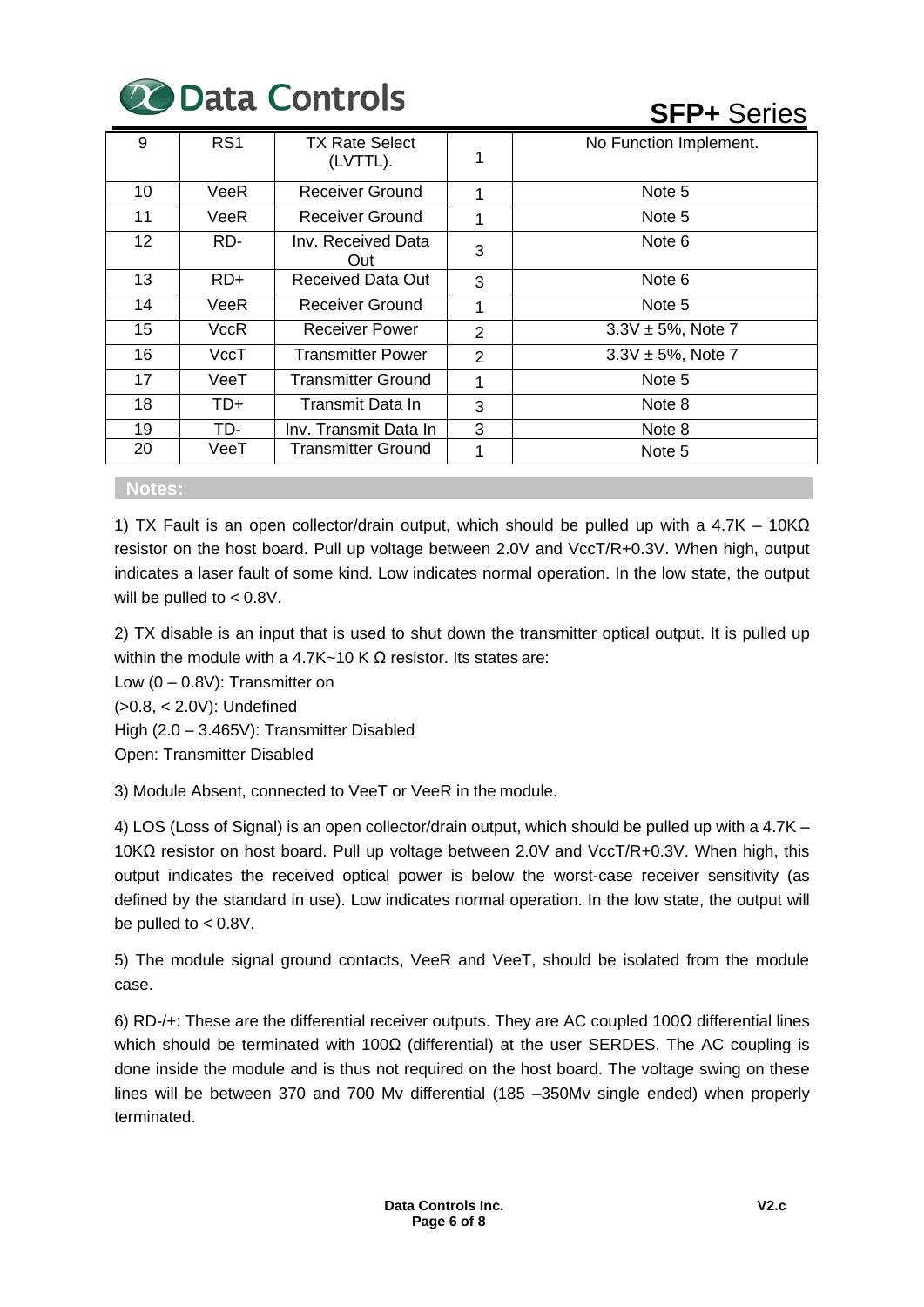

**SFP+** Series

| 9  | RS <sub>1</sub> | <b>TX Rate Select</b><br>(LVTTL). |                | No Function Implement. |
|----|-----------------|-----------------------------------|----------------|------------------------|
| 10 | VeeR            | Receiver Ground                   | 1              | Note 5                 |
| 11 | VeeR            | Receiver Ground                   | 1              | Note 5                 |
| 12 | RD-             | Inv. Received Data<br>Out         | 3              | Note 6                 |
| 13 | RD+             | Received Data Out                 | 3              | Note 6                 |
| 14 | VeeR            | Receiver Ground                   | 1              | Note 5                 |
| 15 | VccR            | <b>Receiver Power</b>             | $\overline{2}$ | $3.3V \pm 5%$ , Note 7 |
| 16 | VccT            | <b>Transmitter Power</b>          | 2              | $3.3V \pm 5%$ , Note 7 |
| 17 | VeeT            | Transmitter Ground                | 1              | Note 5                 |
| 18 | TD+             | Transmit Data In                  | 3              | Note 8                 |
| 19 | TD-             | Inv. Transmit Data In             | 3              | Note 8                 |
| 20 | VeeT            | Transmitter Ground                | 1              | Note 5                 |

#### **Notes:**

1) TX Fault is an open collector/drain output, which should be pulled up with a 4.7K – 10KΩ resistor on the host board. Pull up voltage between 2.0V and VccT/R+0.3V. When high, output indicates a laser fault of some kind. Low indicates normal operation. In the low state, the output will be pulled to < 0.8V.

2) TX disable is an input that is used to shut down the transmitter optical output. It is pulled up within the module with a 4.7K~10 K Ω resistor. Its states are:

Low (0 – 0.8V): Transmitter on

(>0.8, < 2.0V): Undefined

High (2.0 – 3.465V): Transmitter Disabled

Open: Transmitter Disabled

3) Module Absent, connected to VeeT or VeeR in the module.

4) LOS (Loss of Signal) is an open collector/drain output, which should be pulled up with a 4.7K – 10KΩ resistor on host board. Pull up voltage between 2.0V and VccT/R+0.3V. When high, this output indicates the received optical power is below the worst-case receiver sensitivity (as defined by the standard in use). Low indicates normal operation. In the low state, the output will be pulled to < 0.8V.

5) The module signal ground contacts, VeeR and VeeT, should be isolated from the module case.

6) RD-/+: These are the differential receiver outputs. They are AC coupled 100Ω differential lines which should be terminated with 100 $\Omega$  (differential) at the user SERDES. The AC coupling is done inside the module and is thus not required on the host board. The voltage swing on these lines will be between 370 and 700 Mv differential (185 –350Mv single ended) when properly terminated.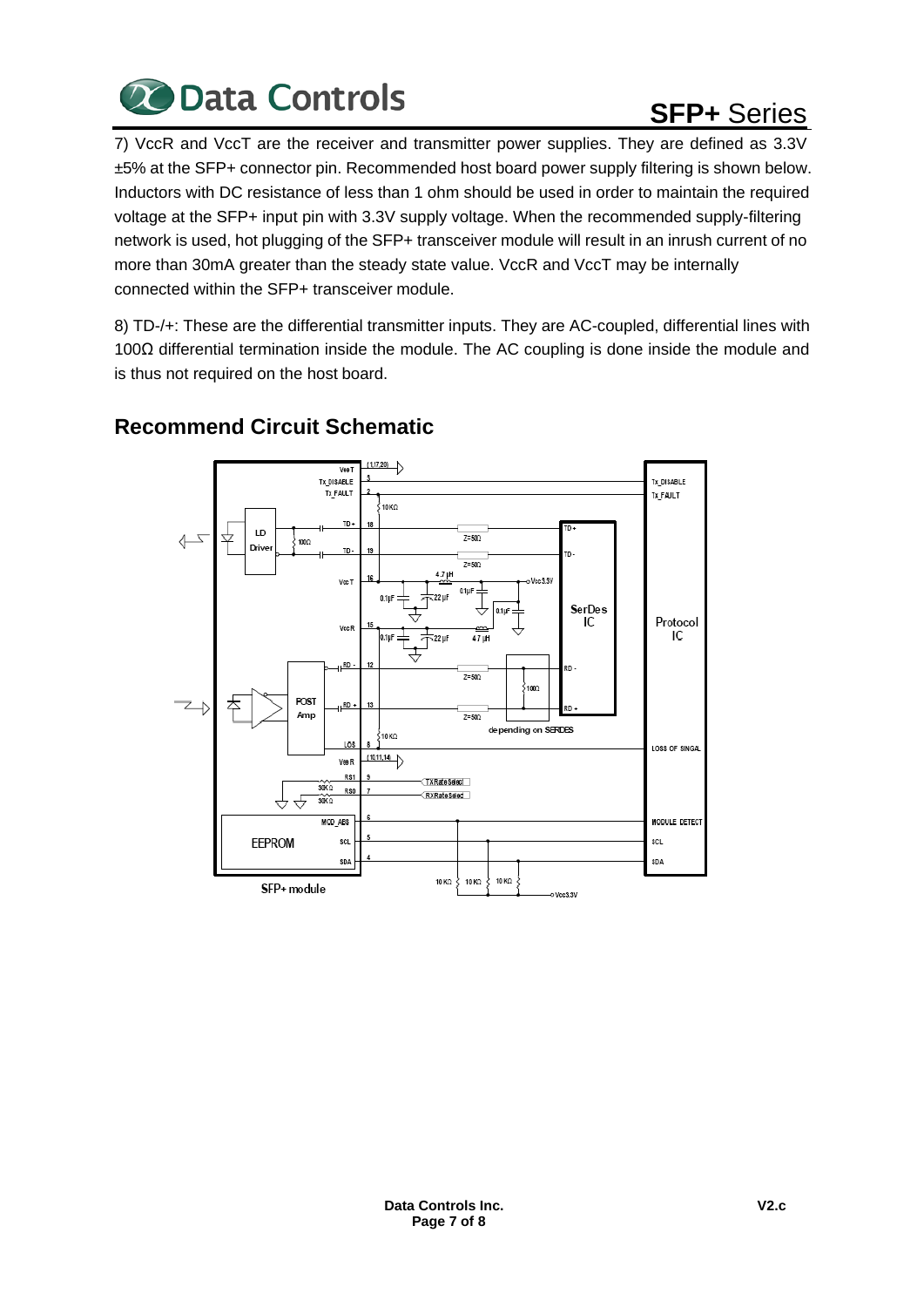

# **SFP+** Series

7) VccR and VccT are the receiver and transmitter power supplies. They are defined as 3.3V ±5% at the SFP+ connector pin. Recommended host board power supply filtering is shown below. Inductors with DC resistance of less than 1 ohm should be used in order to maintain the required voltage at the SFP+ input pin with 3.3V supply voltage. When the recommended supply-filtering network is used, hot plugging of the SFP+ transceiver module will result in an inrush current of no more than 30mA greater than the steady state value. VccR and VccT may be internally connected within the SFP+ transceiver module.

8) TD-/+: These are the differential transmitter inputs. They are AC-coupled, differential lines with 100Ω differential termination inside the module. The AC coupling is done inside the module and is thus not required on the host board.



### **Recommend Circuit Schematic**